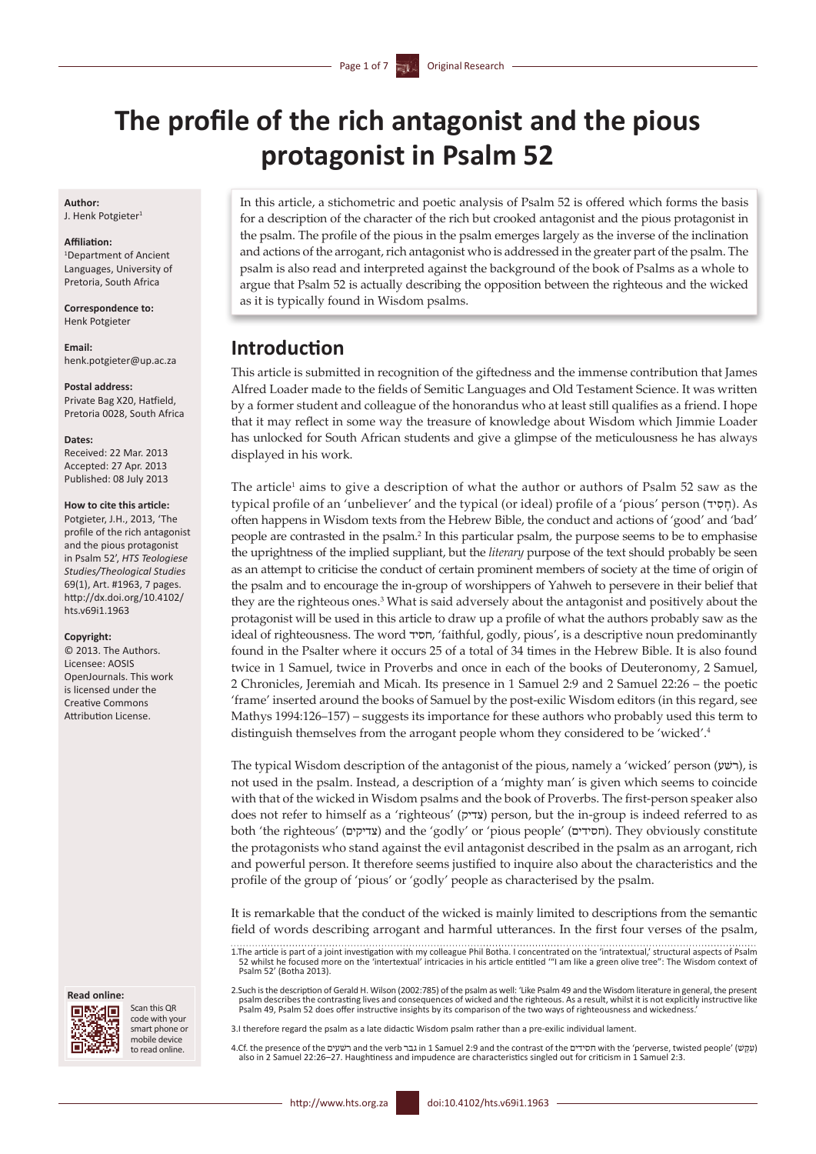# **The profile of the rich antagonist and the pious protagonist in Psalm 52**

**Author:** J. Henk Potgieter<sup>1</sup>

#### **Affiliation:**

1 Department of Ancient Languages, University of Pretoria, South Africa

**Correspondence to:** Henk Potgieter

**Email:** [henk.potgieter@up.ac.za](mailto:henk.potgieter@up.ac.za)

**Postal address:**  Private Bag X20, Hatfield, Pretoria 0028, South Africa

#### **Dates:**

Received: 22 Mar. 2013 Accepted: 27 Apr. 2013 Published: 08 July 2013

#### **How to cite this article:**

Potgieter, J.H., 2013, 'The profile of the rich antagonist and the pious protagonist in Psalm 52', *HTS Teologiese Studies/Theological Studies* 69(1), Art. #1963, 7 pages. [http://dx.doi.org/10.4102/](http://dx.doi.org/10.4102/hts.v69i1.1963) [hts.v69i1.1963](http://dx.doi.org/10.4102/hts.v69i1.1963)

#### **Copyright:**

© 2013. The Authors. Licensee: AOSIS OpenJournals. This work is licensed under the Creative Commons Attribution License.

#### **Read online:**



Scan this QR code with your smart phone or mobile device to read online.

In this article, a stichometric and poetic analysis of Psalm 52 is offered which forms the basis for a description of the character of the rich but crooked antagonist and the pious protagonist in the psalm. The profile of the pious in the psalm emerges largely as the inverse of the inclination and actions of the arrogant, rich antagonist who is addressed in the greater part of the psalm. The psalm is also read and interpreted against the background of the book of Psalms as a whole to argue that Psalm 52 is actually describing the opposition between the righteous and the wicked as it is typically found in Wisdom psalms.

# **Introduction**

This article is submitted in recognition of the giftedness and the immense contribution that James Alfred Loader made to the fields of Semitic Languages and Old Testament Science. It was written by a former student and colleague of the honorandus who at least still qualifies as a friend. I hope that it may reflect in some way the treasure of knowledge about Wisdom which Jimmie Loader has unlocked for South African students and give a glimpse of the meticulousness he has always displayed in his work.

The article<sup>1</sup> aims to give a description of what the author or authors of Psalm 52 saw as the typical profile of an 'unbeliever' and the typical (or ideal) profile of a 'pious' person (חָסִיד). As often happens in Wisdom texts from the Hebrew Bible, the conduct and actions of 'good' and 'bad' people are contrasted in the psalm.<sup>2</sup> In this particular psalm, the purpose seems to be to emphasise the uprightness of the implied suppliant, but the *literary* purpose of the text should probably be seen as an attempt to criticise the conduct of certain prominent members of society at the time of origin of the psalm and to encourage the in-group of worshippers of Yahweh to persevere in their belief that they are the righteous ones.<sup>3</sup> What is said adversely about the antagonist and positively about the protagonist will be used in this article to draw up a profile of what the authors probably saw as the ideal of righteousness. The word חסיד,' faithful, godly, pious', is a descriptive noun predominantly found in the Psalter where it occurs 25 of a total of 34 times in the Hebrew Bible. It is also found twice in 1 Samuel, twice in Proverbs and once in each of the books of Deuteronomy, 2 Samuel, 2 Chronicles, Jeremiah and Micah. Its presence in 1 Samuel 2:9 and 2 Samuel 22:26 – the poetic 'frame' inserted around the books of Samuel by the post-exilic Wisdom editors (in this regard, see Mathys 1994:126–157) – suggests its importance for these authors who probably used this term to distinguish themselves from the arrogant people whom they considered to be 'wicked'.4

The typical Wisdom description of the antagonist of the pious, namely a 'wicked' person (רשׁע), is not used in the psalm. Instead, a description of a 'mighty man' is given which seems to coincide with that of the wicked in Wisdom psalms and the book of Proverbs. The first-person speaker also does not refer to himself as a 'righteous' (צדיק) person, but the in-group is indeed referred to as both 'the righteous' (צדיקים) and the 'godly' or 'pious people' (חסידים). They obviously constitute the protagonists who stand against the evil antagonist described in the psalm as an arrogant, rich and powerful person. It therefore seems justified to inquire also about the characteristics and the profile of the group of 'pious' or 'godly' people as characterised by the psalm.

It is remarkable that the conduct of the wicked is mainly limited to descriptions from the semantic field of words describing arrogant and harmful utterances. In the first four verses of the psalm,

1.The article is part of a joint investigation with my colleague Phil Botha. I concentrated on the 'intratextual,' structural aspects of Psalm<br>52 whilst he focused more on the 'intertextual' intricacies in his article enti Psalm 52' (Botha 2013).

- 2.Such is the description of Gerald H. Wilson (2002:785) of the psalm as well: 'Like Psalm 49 and the Wisdom literature in general, the present<br>psalm describes the contrasting lives and consequences of wicked and the right Psalm 49, Psalm 52 does offer instructive insights by its comparison of the two ways of righteousness and wickedness.'
- 3.I therefore regard the psalm as a late didactic Wisdom psalm rather than a pre-exilic individual lament.
- 4.Cf. the presence of the רשׁעים and the verb גבר in 1 Samuel 2:9 and the contrast of the חסידים with the 'perverse, twisted people' (קּשֵׁ עִ ( also in 2 Samuel 22:26–27. Haughtiness and impudence are characteristics singled out for criticism in 1 Samuel 2:3.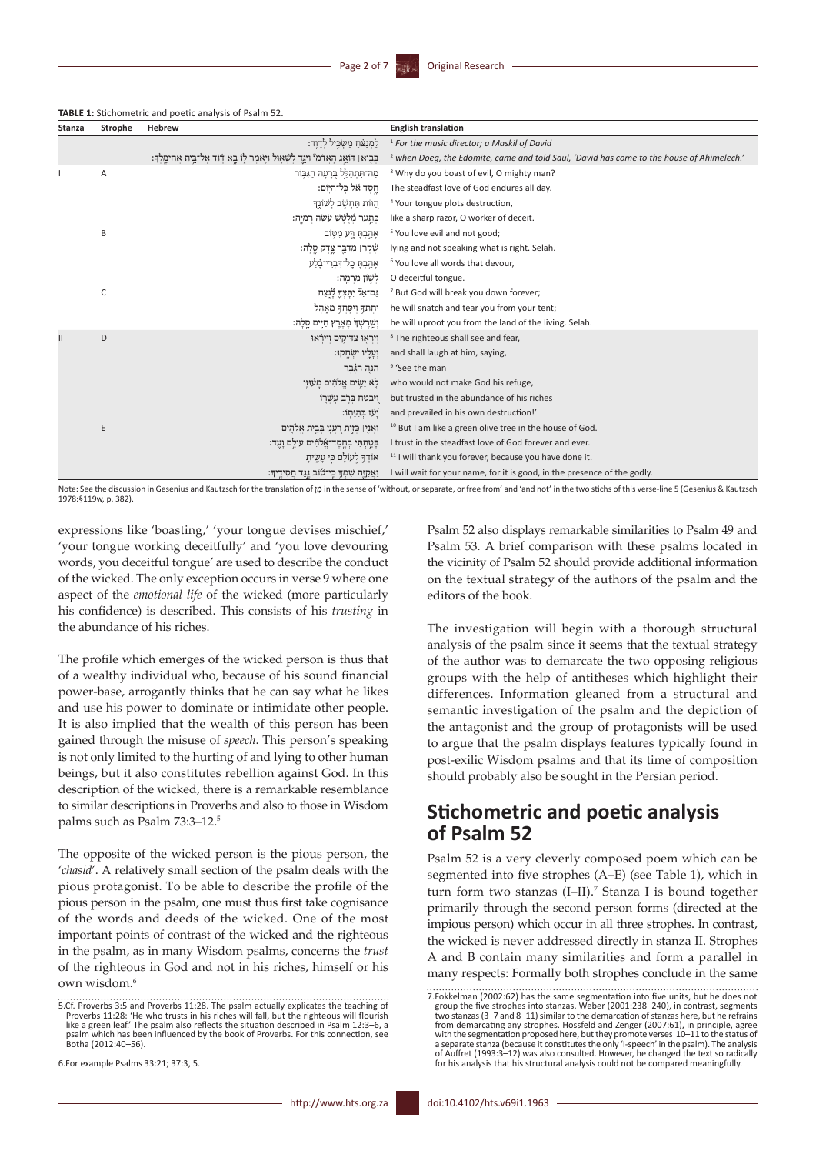**TABLE 1:** Stichometric and poetic analysis of Psalm 52.

| <b>Stanza</b> | Strophe | Hebrew                                                                                            | <b>English translation</b>                                                                           |
|---------------|---------|---------------------------------------------------------------------------------------------------|------------------------------------------------------------------------------------------------------|
|               |         | לַמְנַצֹּחַ מַשְׂכֵּיל לְדַוַד:                                                                   | <sup>1</sup> For the music director; a Maskil of David                                               |
|               |         | בִּבְוֹא  דּוֹאֵג הָאֲדֹמִיֿ וַיַּגֵּד לְשָׁאִוּל וַיְאֹמֶר לָוֹ בָּא דָוֹד אֱל־בֵית אֲחִימֵלֵדְ: | <sup>2</sup> when Doeg, the Edomite, came and told Saul, 'David has come to the house of Ahimelech.' |
|               | Α       | מה־תתהלל ברעה הגבור                                                                               | <sup>3</sup> Why do you boast of evil, O mighty man?                                                 |
|               |         | חֵסֵד אֱל כַּל־הַיִּּוֹם:                                                                         | The steadfast love of God endures all day.                                                           |
|               |         | הוות תחשב לשונד                                                                                   | <sup>4</sup> Your tongue plots destruction,                                                          |
|               |         | כְּתֵעַר מְלַטַּשׁ עֹשׂה רִמְיֵּה:                                                                | like a sharp razor, O worker of deceit.                                                              |
|               | B       | אַהֵבְתַּ רֵע מְטִוֹב                                                                             | <sup>5</sup> You love evil and not good;                                                             |
|               |         | ּשֵׁקֵר! מִדַּבֵּר צֵדֵק סֵלַה:                                                                   | lying and not speaking what is right. Selah.                                                         |
|               |         | אָהָבְתָּ כְל־דִּבְרֵי־בָ֫לַע                                                                     | <sup>6</sup> You love all words that devour,                                                         |
|               |         | לְשָׁוֹן מְרָמֶה:                                                                                 | O deceitful tongue.                                                                                  |
|               | C       | גַם־אֵל יִתַּצְךָ לַנַצַח                                                                         | <sup>7</sup> But God will break you down forever;                                                    |
|               |         | יחתך ויסחד מאהל                                                                                   | he will snatch and tear you from your tent;                                                          |
|               |         | וְשֶׁרֵשְׁדְּ מֶאֱרֵץ חַיֵּים סֵלַה:                                                              | he will uproot you from the land of the living. Selah.                                               |
| $\mathbf{H}$  | D       | ויראו צדיקים וייראו                                                                               | <sup>8</sup> The righteous shall see and fear,                                                       |
|               |         | וְעָלֵיו יִשְׂחֲקוּ:                                                                              | and shall laugh at him, saying,                                                                      |
|               |         | הנה הגבר                                                                                          | <sup>9</sup> 'See the man                                                                            |
|               |         | לָא יַשִׂים אֱלֹהִים מַעוֹזוֹ                                                                     | who would not make God his refuge,                                                                   |
|               |         | וַיִּבְטַח בִּרְב עָשָׁרָוֹ                                                                       | but trusted in the abundance of his riches                                                           |
|               |         | יַעז בְּהַוְּתוֹ:                                                                                 | and prevailed in his own destruction!'                                                               |
|               | Ε       | וַאֲנִי  כִּזְיִת רֲעֲנֶן בִּבֵית אֱלֹהֶים                                                        | <sup>10</sup> But I am like a green olive tree in the house of God.                                  |
|               |         | בְּטַחְתִּי בְחֱסֶד־אֱלֹהִים עוֹלֵם וָעֵד:                                                        | I trust in the steadfast love of God forever and ever.                                               |
|               |         | אודך לעולם כי עשית                                                                                | <sup>11</sup> I will thank you forever, because you have done it.                                    |
|               |         | וַאֲקָוֶּה שָׁמְךָּ כֵי־טוֹב נֵגֶד חֵסְידֵיךָ:                                                    | I will wait for your name, for it is good, in the presence of the godly.                             |

Note: See the discussion in Gesenius and Kautzsch for the translation of  $p$  in the sense of 'without, or separate, or free from' and 'and not' in the two stichs of this verse-line 5 (Gesenius & Kautzsch 1978:§119w, p. 382).

expressions like 'boasting,' 'your tongue devises mischief,' 'your tongue working deceitfully' and 'you love devouring words, you deceitful tongue' are used to describe the conduct of the wicked. The only exception occurs in verse 9 where one aspect of the *emotional life* of the wicked (more particularly his confidence) is described. This consists of his *trusting* in the abundance of his riches.

The profile which emerges of the wicked person is thus that of a wealthy individual who, because of his sound financial power-base, arrogantly thinks that he can say what he likes and use his power to dominate or intimidate other people. It is also implied that the wealth of this person has been gained through the misuse of *speech*. This person's speaking is not only limited to the hurting of and lying to other human beings, but it also constitutes rebellion against God. In this description of the wicked, there is a remarkable resemblance to similar descriptions in Proverbs and also to those in Wisdom palms such as Psalm 73:3–12.5

The opposite of the wicked person is the pious person, the '*chasid*'. A relatively small section of the psalm deals with the pious protagonist. To be able to describe the profile of the pious person in the psalm, one must thus first take cognisance of the words and deeds of the wicked. One of the most important points of contrast of the wicked and the righteous in the psalm, as in many Wisdom psalms, concerns the *trust* of the righteous in God and not in his riches, himself or his own wisdom.<sup>6</sup>

5.Cf. Proverbs 3:5 and Proverbs 11:28. The psalm actually explicates the teaching of Proverbs 11:28: 'He who trusts in his riches will fall, but the righteous will flourish like a green leaf.' The psalm also reflects the situation described in Psalm 12:3–6, a psalm which has been influenced by the book of Proverbs. For this connection, see Botha (2012:40–56).

6.For example Psalms 33:21; 37:3, 5.

Psalm 52 also displays remarkable similarities to Psalm 49 and Psalm 53. A brief comparison with these psalms located in the vicinity of Psalm 52 should provide additional information on the textual strategy of the authors of the psalm and the editors of the book.

The investigation will begin with a thorough structural analysis of the psalm since it seems that the textual strategy of the author was to demarcate the two opposing religious groups with the help of antitheses which highlight their differences. Information gleaned from a structural and semantic investigation of the psalm and the depiction of the antagonist and the group of protagonists will be used to argue that the psalm displays features typically found in post-exilic Wisdom psalms and that its time of composition should probably also be sought in the Persian period.

# **Stichometric and poetic analysis of Psalm 52**

Psalm 52 is a very cleverly composed poem which can be segmented into five strophes (A–E) (see Table 1), which in turn form two stanzas (I-II).<sup>7</sup> Stanza I is bound together primarily through the second person forms (directed at the impious person) which occur in all three strophes. In contrast, the wicked is never addressed directly in stanza II. Strophes A and B contain many similarities and form a parallel in many respects: Formally both strophes conclude in the same

<sup>7.</sup>Fokkelman (2002:62) has the same segmentation into five units, but he does not group the five strophes into stanzas. Weber (2001:238–240), in contrast, segments two stanzas (3–7 and 8–11) similar to the demarcation of stanzas here, but he refrains from demarcating any strophes. Hossfeld and Zenger (2007:61), in principle, agree with the segmentation proposed here, but they promote verses 10–11 to the status of a separate stanza (because it constitutes the only 'I-speech' in the psalm). The analysis of Auffret (1993:3–12) was also consulted. However, he changed the text so radically for his analysis that his structural analysis could not be compared meaningfully.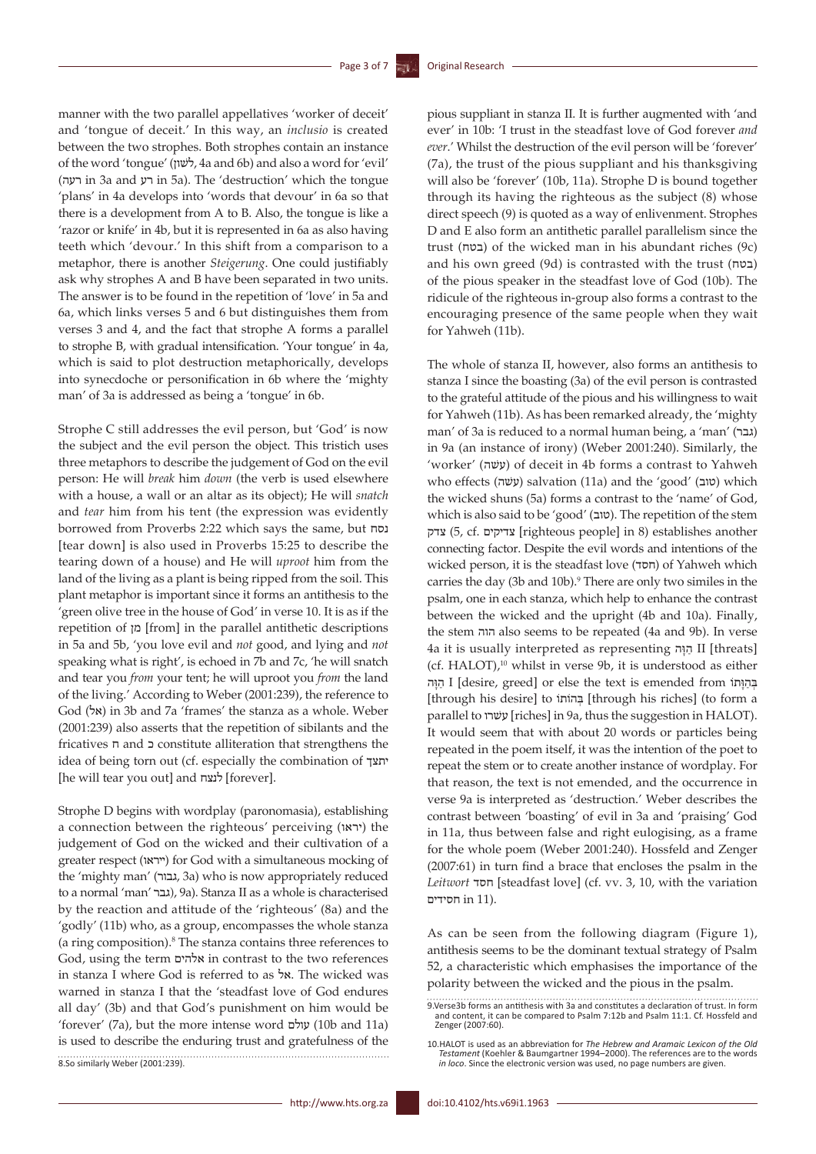manner with the two parallel appellatives 'worker of deceit' and 'tongue of deceit.' In this way, an *inclusio* is created between the two strophes. Both strophes contain an instance of the word 'tongue' (לשׁון, 4a and 6b) and also a word for 'evil' (רעה in 3a and רעה in 5a). The 'destruction' which the tongue 'plans' in 4a develops into 'words that devour' in 6a so that there is a development from A to B. Also, the tongue is like a 'razor or knife' in 4b, but it is represented in 6a as also having teeth which 'devour.' In this shift from a comparison to a metaphor, there is another *Steigerung*. One could justifiably ask why strophes A and B have been separated in two units. The answer is to be found in the repetition of 'love' in 5a and 6a, which links verses 5 and 6 but distinguishes them from verses 3 and 4, and the fact that strophe A forms a parallel to strophe B, with gradual intensification. 'Your tongue' in 4a, which is said to plot destruction metaphorically, develops into synecdoche or personification in 6b where the 'mighty man' of 3a is addressed as being a 'tongue' in 6b.

Strophe C still addresses the evil person, but 'God' is now the subject and the evil person the object. This tristich uses three metaphors to describe the judgement of God on the evil person: He will *break* him *down* (the verb is used elsewhere with a house, a wall or an altar as its object); He will *snatch* and *tear* him from his tent (the expression was evidently borrowed from Proverbs 2:22 which says the same, but נסח [tear down] is also used in Proverbs 15:25 to describe the tearing down of a house) and He will *uproot* him from the land of the living as a plant is being ripped from the soil. This plant metaphor is important since it forms an antithesis to the 'green olive tree in the house of God' in verse 10. It is as if the repetition of מן] from] in the parallel antithetic descriptions in 5a and 5b, 'you love evil and *not* good, and lying and *not* speaking what is right', is echoed in 7b and 7c, 'he will snatch and tear you *from* your tent; he will uproot you *from* the land of the living.' According to Weber (2001:239), the reference to God (אל (in 3b and 7a 'frames' the stanza as a whole. Weber (2001:239) also asserts that the repetition of sibilants and the fricatives ח and כ constitute alliteration that strengthens the idea of being torn out (cf. especially the combination of יתצך [he will tear you out] and לנצח] forever].

Strophe D begins with wordplay (paronomasia), establishing a connection between the righteous' perceiving (יראו) the judgement of God on the wicked and their cultivation of a greater respect (ייראו (for God with a simultaneous mocking of the 'mighty man' (גבור, 3a) who is now appropriately reduced to a normal 'man' גבר), 9a). Stanza II as a whole is characterised by the reaction and attitude of the 'righteous' (8a) and the 'godly' (11b) who, as a group, encompasses the whole stanza (a ring composition).8 The stanza contains three references to God, using the term אלהים in contrast to the two references in stanza I where God is referred to as אל. The wicked was warned in stanza I that the 'steadfast love of God endures all day' (3b) and that God's punishment on him would be 'forever' (7a), but the more intense word עולם) 10b and 11a) is used to describe the enduring trust and gratefulness of the 8.So similarly Weber (2001:239).

pious suppliant in stanza II. It is further augmented with 'and ever' in 10b: 'I trust in the steadfast love of God forever *and ever*.' Whilst the destruction of the evil person will be 'forever' (7a), the trust of the pious suppliant and his thanksgiving will also be 'forever' (10b, 11a). Strophe D is bound together through its having the righteous as the subject (8) whose direct speech (9) is quoted as a way of enlivenment. Strophes D and E also form an antithetic parallel parallelism since the trust (בטח) of the wicked man in his abundant riches (9c) and his own greed (9d) is contrasted with the trust (בטח) of the pious speaker in the steadfast love of God (10b). The ridicule of the righteous in-group also forms a contrast to the encouraging presence of the same people when they wait for Yahweh (11b).

The whole of stanza II, however, also forms an antithesis to stanza I since the boasting (3a) of the evil person is contrasted to the grateful attitude of the pious and his willingness to wait for Yahweh (11b). As has been remarked already, the 'mighty man' of 3a is reduced to a normal human being, a 'man' (גבר) in 9a (an instance of irony) (Weber 2001:240). Similarly, the 'worker' (עשה) of deceit in 4b forms a contrast to Yahweh who effects (עשׂה) salvation (11a) and the 'good' (טוב) which the wicked shuns (5a) forms a contrast to the 'name' of God, which is also said to be 'good' (טוב). The repetition of the stem צדק) 5, cf. צדיקים] righteous people] in 8) establishes another connecting factor. Despite the evil words and intentions of the wicked person, it is the steadfast love (חסד) of Yahweh which carries the day (3b and 10b).<sup>9</sup> There are only two similes in the psalm, one in each stanza, which help to enhance the contrast between the wicked and the upright (4b and 10a). Finally, the stem הוה also seems to be repeated (4a and 9b). In verse 4a it is usually interpreted as representing והָּהַ II [threats] (cf. HALOT), $10$  whilst in verse 9b, it is understood as either והָּהַ I [desire, greed] or else the text is emended from וּתוָֹהַ בְּ [through his desire] to בּהוֹתוְֹ] through his riches] (to form a parallel to עשׁרו] riches] in 9a, thus the suggestion in HALOT). It would seem that with about 20 words or particles being repeated in the poem itself, it was the intention of the poet to repeat the stem or to create another instance of wordplay. For that reason, the text is not emended, and the occurrence in verse 9a is interpreted as 'destruction.' Weber describes the contrast between 'boasting' of evil in 3a and 'praising' God in 11a, thus between false and right eulogising, as a frame for the whole poem (Weber 2001:240). Hossfeld and Zenger (2007:61) in turn find a brace that encloses the psalm in the *Leitwort* חסד] steadfast love] (cf. vv. 3, 10, with the variation .(11 in חסידים

As can be seen from the following diagram (Figure 1), antithesis seems to be the dominant textual strategy of Psalm 52, a characteristic which emphasises the importance of the polarity between the wicked and the pious in the psalm.

<sup>9.</sup>Verse3b forms an antithesis with 3a and constitutes a declaration of trust. In form and content, it can be compared to Psalm 7:12b and Psalm 11:1. Cf. Hossfeld and Zenger (2007:60).

<sup>10.</sup>HALOT is used as an abbreviation for *The Hebrew and Aramaic Lexicon of the Old Testament* (Koehler & Baumgartner 1994–2000). The references are to the words *in loco*. Since the electronic version was used, no page numbers are given.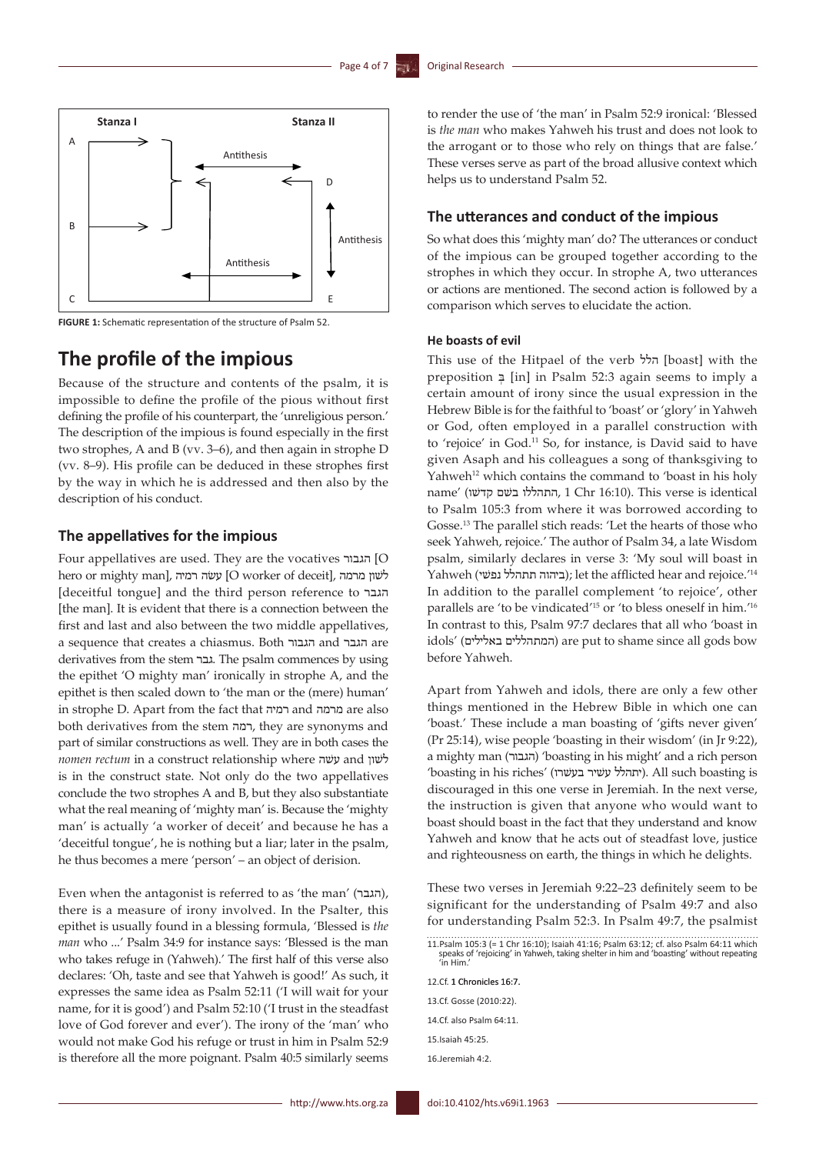

**FIGURE 1:** Schematic representation of the structure of Psalm 52.

# **The profile of the impious**

Because of the structure and contents of the psalm, it is impossible to define the profile of the pious without first defining the profile of his counterpart, the 'unreligious person.' The description of the impious is found especially in the first two strophes, A and B (vv. 3–6), and then again in strophe D (vv. 8–9). His profile can be deduced in these strophes first by the way in which he is addressed and then also by the description of his conduct.

### **The appellatives for the impious**

Four appellatives are used. They are the vocatives הגבור] O hero or mighty man], לשׁה רמיה [O worker of deceit], לשון מרמה [deceitful tongue] and the third person reference to הגבר [the man]. It is evident that there is a connection between the first and last and also between the two middle appellatives, a sequence that creates a chiasmus. Both הגבור and הגבר are derivatives from the stem גבר. The psalm commences by using the epithet 'O mighty man' ironically in strophe A, and the epithet is then scaled down to 'the man or the (mere) human' in strophe D. Apart from the fact that רמיה and מרמה are also both derivatives from the stem רמה, they are synonyms and part of similar constructions as well. They are in both cases the *nomen rectum* in a construct relationship where עשׁה and לשׁון is in the construct state. Not only do the two appellatives conclude the two strophes A and B, but they also substantiate what the real meaning of 'mighty man' is. Because the 'mighty man' is actually 'a worker of deceit' and because he has a 'deceitful tongue', he is nothing but a liar; later in the psalm, he thus becomes a mere 'person' – an object of derision.

Even when the antagonist is referred to as 'the man' (הגבר), there is a measure of irony involved. In the Psalter, this epithet is usually found in a blessing formula, 'Blessed is *the man* who ...' Psalm 34:9 for instance says: 'Blessed is the man who takes refuge in (Yahweh).' The first half of this verse also declares: 'Oh, taste and see that Yahweh is good!' As such, it expresses the same idea as Psalm 52:11 ('I will wait for your name, for it is good') and Psalm 52:10 ('I trust in the steadfast love of God forever and ever'). The irony of the 'man' who would not make God his refuge or trust in him in Psalm 52:9 is therefore all the more poignant. Psalm 40:5 similarly seems

to render the use of 'the man' in Psalm 52:9 ironical: 'Blessed is *the man* who makes Yahweh his trust and does not look to the arrogant or to those who rely on things that are false.' These verses serve as part of the broad allusive context which helps us to understand Psalm 52.

### **The utterances and conduct of the impious**

So what does this 'mighty man' do? The utterances or conduct of the impious can be grouped together according to the strophes in which they occur. In strophe A, two utterances or actions are mentioned. The second action is followed by a comparison which serves to elucidate the action.

### **He boasts of evil**

This use of the Hitpael of the verb הלל [boast] with the preposition בְּ] in] in Psalm 52:3 again seems to imply a certain amount of irony since the usual expression in the Hebrew Bible is for the faithful to 'boast' or 'glory' in Yahweh or God, often employed in a parallel construction with to 'rejoice' in God.11 So, for instance, is David said to have given Asaph and his colleagues a song of thanksgiving to Yahweh<sup>12</sup> which contains the command to 'boast in his holy name' (קדשׁו בשׁם התהללו, 1 Chr 16:10). This verse is identical to Psalm 105:3 from where it was borrowed according to Gosse.13 The parallel stich reads: 'Let the hearts of those who seek Yahweh, rejoice.' The author of Psalm 34, a late Wisdom psalm, similarly declares in verse 3: 'My soul will boast in Yahweh (ביהוה תתהלל נפשי); let the afflicted hear and rejoice.'<sup>14</sup> In addition to the parallel complement 'to rejoice', other parallels are 'to be vindicated'15 or 'to bless oneself in him.'16 In contrast to this, Psalm 97:7 declares that all who 'boast in idols' (באלילים המתהללים (are put to shame since all gods bow before Yahweh.

Apart from Yahweh and idols, there are only a few other things mentioned in the Hebrew Bible in which one can 'boast.' These include a man boasting of 'gifts never given' (Pr 25:14), wise people 'boasting in their wisdom' (in Jr 9:22), a mighty man (הגבור' (boasting in his might' and a rich person 'boasting in his riches' (יתהלל עשיר בעשרו). All such boasting is discouraged in this one verse in Jeremiah. In the next verse, the instruction is given that anyone who would want to boast should boast in the fact that they understand and know Yahweh and know that he acts out of steadfast love, justice and righteousness on earth, the things in which he delights.

These two verses in Jeremiah 9:22–23 definitely seem to be significant for the understanding of Psalm 49:7 and also for understanding Psalm 52:3. In Psalm 49:7, the psalmist

11.Psalm 105:3 (= 1 Chr 16:10); Isaiah 41:16; Psalm 63:12; cf. also Psalm 64:11 which speaks of 'rejoicing' in Yahweh, taking shelter in him and 'boasting' without repeating 'in Him.'

12.Cf. 1 Chronicles 16:7. 13.Cf. Gosse (2010:22). 14.Cf. also Psalm 64:11. 15.Isaiah 45:25. 16.Jeremiah 4:2.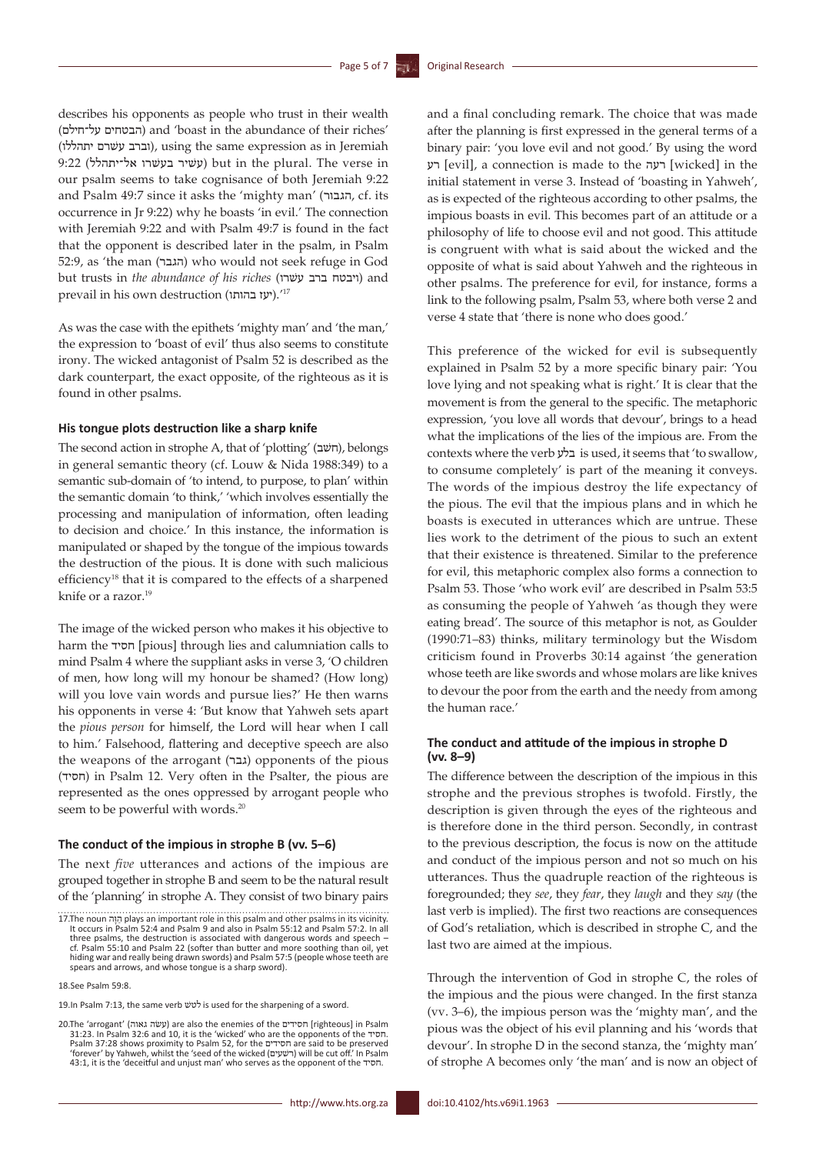describes his opponents as people who trust in their wealth (על־חילם הבטחים (and 'boast in the abundance of their riches' (וברב עשׁרם יתהללו), using the same expression as in Jeremiah 9:22 (עשיר בעשרו אל־יתהלל) but in the plural. The verse in our psalm seems to take cognisance of both Jeremiah 9:22 and Psalm 49:7 since it asks the 'mighty man' (הגבור, cf. its occurrence in Jr 9:22) why he boasts 'in evil.' The connection with Jeremiah 9:22 and with Psalm 49:7 is found in the fact that the opponent is described later in the psalm, in Psalm 52:9, as 'the man (הגבר) who would not seek refuge in God but trusts in *the abundance of his riches* (ויבטח ברב עשרו) and prevail in his own destruction (יעז בהותו).<sup>'17</sup>

As was the case with the epithets 'mighty man' and 'the man,' the expression to 'boast of evil' thus also seems to constitute irony. The wicked antagonist of Psalm 52 is described as the dark counterpart, the exact opposite, of the righteous as it is found in other psalms.

#### **His tongue plots destruction like a sharp knife**

The second action in strophe A, that of 'plotting' (חשׁב), belongs in general semantic theory (cf. Louw & Nida 1988:349) to a semantic sub-domain of 'to intend, to purpose, to plan' within the semantic domain 'to think,' 'which involves essentially the processing and manipulation of information, often leading to decision and choice.' In this instance, the information is manipulated or shaped by the tongue of the impious towards the destruction of the pious. It is done with such malicious efficiency18 that it is compared to the effects of a sharpened knife or a razor.<sup>19</sup>

The image of the wicked person who makes it his objective to harm the חסיד] pious] through lies and calumniation calls to mind Psalm 4 where the suppliant asks in verse 3, 'O children of men, how long will my honour be shamed? (How long) will you love vain words and pursue lies?' He then warns his opponents in verse 4: 'But know that Yahweh sets apart the *pious person* for himself, the Lord will hear when I call to him.' Falsehood, flattering and deceptive speech are also the weapons of the arrogant (גבר) opponents of the pious (חסיד) in Psalm 12. Very often in the Psalter, the pious are represented as the ones oppressed by arrogant people who seem to be powerful with words.<sup>20</sup>

#### **The conduct of the impious in strophe B (vv. 5–6)**

The next *five* utterances and actions of the impious are grouped together in strophe B and seem to be the natural result of the 'planning' in strophe A. They consist of two binary pairs

18.See Psalm 59:8.

and a final concluding remark. The choice that was made after the planning is first expressed in the general terms of a binary pair: 'you love evil and not good.' By using the word רע] evil], a connection is made to the רעה] wicked] in the initial statement in verse 3. Instead of 'boasting in Yahweh', as is expected of the righteous according to other psalms, the impious boasts in evil. This becomes part of an attitude or a philosophy of life to choose evil and not good. This attitude is congruent with what is said about the wicked and the opposite of what is said about Yahweh and the righteous in other psalms. The preference for evil, for instance, forms a link to the following psalm, Psalm 53, where both verse 2 and verse 4 state that 'there is none who does good.'

This preference of the wicked for evil is subsequently explained in Psalm 52 by a more specific binary pair: 'You love lying and not speaking what is right.' It is clear that the movement is from the general to the specific. The metaphoric expression, 'you love all words that devour', brings to a head what the implications of the lies of the impious are. From the contexts where the verb בלע is used, it seems that 'to swallow, to consume completely' is part of the meaning it conveys. The words of the impious destroy the life expectancy of the pious. The evil that the impious plans and in which he boasts is executed in utterances which are untrue. These lies work to the detriment of the pious to such an extent that their existence is threatened. Similar to the preference for evil, this metaphoric complex also forms a connection to Psalm 53. Those 'who work evil' are described in Psalm 53:5 as consuming the people of Yahweh 'as though they were eating bread'. The source of this metaphor is not, as Goulder (1990:71–83) thinks, military terminology but the Wisdom criticism found in Proverbs 30:14 against 'the generation whose teeth are like swords and whose molars are like knives to devour the poor from the earth and the needy from among the human race.'

### **The conduct and attitude of the impious in strophe D (vv. 8–9)**

The difference between the description of the impious in this strophe and the previous strophes is twofold. Firstly, the description is given through the eyes of the righteous and is therefore done in the third person. Secondly, in contrast to the previous description, the focus is now on the attitude and conduct of the impious person and not so much on his utterances. Thus the quadruple reaction of the righteous is foregrounded; they *see*, they *fear*, they *laugh* and they *say* (the last verb is implied). The first two reactions are consequences of God's retaliation, which is described in strophe C, and the last two are aimed at the impious.

Through the intervention of God in strophe C, the roles of the impious and the pious were changed. In the first stanza (vv. 3–6), the impious person was the 'mighty man', and the pious was the object of his evil planning and his 'words that devour'. In strophe D in the second stanza, the 'mighty man' of strophe A becomes only 'the man' and is now an object of

<sup>17.</sup>The noun והָּהַ plays an important role in this psalm and other psalms in its vicinity. It occurs in Psalm 52:4 and Psalm 9 and also in Psalm 55:12 and Psalm 57:2. In all three psalms, the destruction is associated with dangerous words and speech – cf. Psalm 55:10 and Psalm 22 (softer than butter and more soothing than oil, yet hiding war and really being drawn swords) and Psalm 57:5 (people whose teeth are spears and arrows, and whose tongue is a sharp sword).

<sup>19.</sup>In Psalm 7:13, the same verb לטשׁ is used for the sharpening of a sword.

<sup>20.</sup>The 'arrogant' (עשׂה גאוה) are also the enemies of the חסידים] [righteous] in Psalm .31:23. In Psalm 32:6 and 10, it is the 'wicked' who are the opponents of the חדשיד.<br>Psalm 37:28 shows proximity to Psalm 52, for the מידים are said to be preserved<br>'forever' by Yahweh, whilst the 'seed of the wicked (מיל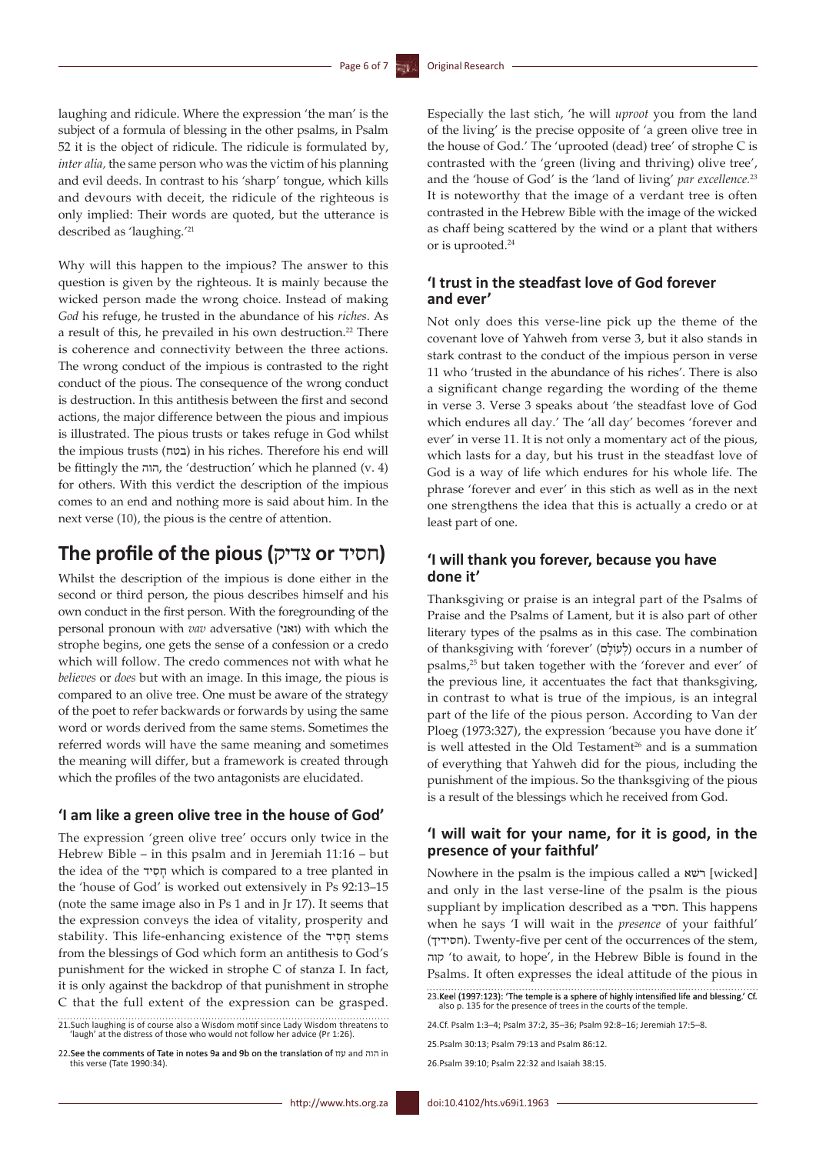laughing and ridicule. Where the expression 'the man' is the subject of a formula of blessing in the other psalms, in Psalm 52 it is the object of ridicule. The ridicule is formulated by, *inter alia,* the same person who was the victim of his planning and evil deeds. In contrast to his 'sharp' tongue, which kills and devours with deceit, the ridicule of the righteous is only implied: Their words are quoted, but the utterance is described as 'laughing.'21

Why will this happen to the impious? The answer to this question is given by the righteous. It is mainly because the wicked person made the wrong choice. Instead of making *God* his refuge, he trusted in the abundance of his *riches*. As a result of this, he prevailed in his own destruction.<sup>22</sup> There is coherence and connectivity between the three actions. The wrong conduct of the impious is contrasted to the right conduct of the pious. The consequence of the wrong conduct is destruction. In this antithesis between the first and second actions, the major difference between the pious and impious is illustrated. The pious trusts or takes refuge in God whilst the impious trusts (בטח) in his riches. Therefore his end will be fittingly the הוה, the 'destruction' which he planned (v. 4) for others. With this verdict the description of the impious comes to an end and nothing more is said about him. In the next verse (10), the pious is the centre of attention.

# **The profile of the pious (**צדיק **or** חסיד **(**

Whilst the description of the impious is done either in the second or third person, the pious describes himself and his own conduct in the first person. With the foregrounding of the personal pronoun with *vav* adversative (ואני (with which the strophe begins, one gets the sense of a confession or a credo which will follow. The credo commences not with what he *believes* or *does* but with an image. In this image, the pious is compared to an olive tree. One must be aware of the strategy of the poet to refer backwards or forwards by using the same word or words derived from the same stems. Sometimes the referred words will have the same meaning and sometimes the meaning will differ, but a framework is created through which the profiles of the two antagonists are elucidated.

### **'I am like a green olive tree in the house of God'**

The expression 'green olive tree' occurs only twice in the Hebrew Bible – in this psalm and in Jeremiah 11:16 – but the idea of the סידִ חָ which is compared to a tree planted in the 'house of God' is worked out extensively in Ps 92:13–15 (note the same image also in Ps 1 and in Jr 17). It seems that the expression conveys the idea of vitality, prosperity and stability. This life-enhancing existence of the סידִ חָ stems from the blessings of God which form an antithesis to God's punishment for the wicked in strophe C of stanza I. In fact, it is only against the backdrop of that punishment in strophe C that the full extent of the expression can be grasped.

21.Such laughing is of course also a Wisdom motif since Lady Wisdom threatens to 'laugh' at the distress of those who would not follow her advice (Pr 1:26).

.See the comments of Tate in notes 9a and 9b on the translation of עזז and הוה in this verse (Tate 1990:34).

Especially the last stich, 'he will *uproot* you from the land of the living' is the precise opposite of 'a green olive tree in the house of God.' The 'uprooted (dead) tree' of strophe C is contrasted with the 'green (living and thriving) olive tree', and the 'house of God' is the 'land of living' *par excellence.*<sup>23</sup> It is noteworthy that the image of a verdant tree is often contrasted in the Hebrew Bible with the image of the wicked as chaff being scattered by the wind or a plant that withers or is uprooted.24

## **'I trust in the steadfast love of God forever and ever'**

Not only does this verse-line pick up the theme of the covenant love of Yahweh from verse 3, but it also stands in stark contrast to the conduct of the impious person in verse 11 who 'trusted in the abundance of his riches'. There is also a significant change regarding the wording of the theme in verse 3. Verse 3 speaks about 'the steadfast love of God which endures all day.' The 'all day' becomes 'forever and ever' in verse 11. It is not only a momentary act of the pious, which lasts for a day, but his trust in the steadfast love of God is a way of life which endures for his whole life. The phrase 'forever and ever' in this stich as well as in the next one strengthens the idea that this is actually a credo or at least part of one.

### **'I will thank you forever, because you have done it'**

Thanksgiving or praise is an integral part of the Psalms of Praise and the Psalms of Lament, but it is also part of other literary types of the psalms as in this case. The combination of thanksgiving with 'forever' (לְעוֹלָם) occurs in a number of psalms,25 but taken together with the 'forever and ever' of the previous line, it accentuates the fact that thanksgiving, in contrast to what is true of the impious, is an integral part of the life of the pious person. According to Van der Ploeg (1973:327), the expression 'because you have done it' is well attested in the Old Testament<sup>26</sup> and is a summation of everything that Yahweh did for the pious, including the punishment of the impious. So the thanksgiving of the pious is a result of the blessings which he received from God.

### **'I will wait for your name, for it is good, in the presence of your faithful'**

Nowhere in the psalm is the impious called a רשׁא] wicked] and only in the last verse-line of the psalm is the pious suppliant by implication described as a חסיד. This happens when he says 'I will wait in the *presence* of your faithful' (חסידיך(. Twenty-five per cent of the occurrences of the stem, קוה' to await, to hope', in the Hebrew Bible is found in the Psalms. It often expresses the ideal attitude of the pious in

24.Cf. Psalm 1:3–4; Psalm 37:2, 35–36; Psalm 92:8–16; Jeremiah 17:5–8. 25.Psalm 30:13; Psalm 79:13 and Psalm 86:12.

26.Psalm 39:10; Psalm 22:32 and Isaiah 38:15.

<sup>.</sup>Keel (1997:123): 'The temple is a sphere of highly intensified life and blessing.' Cf. also p. 135 for the presence of trees in the courts of the temple.